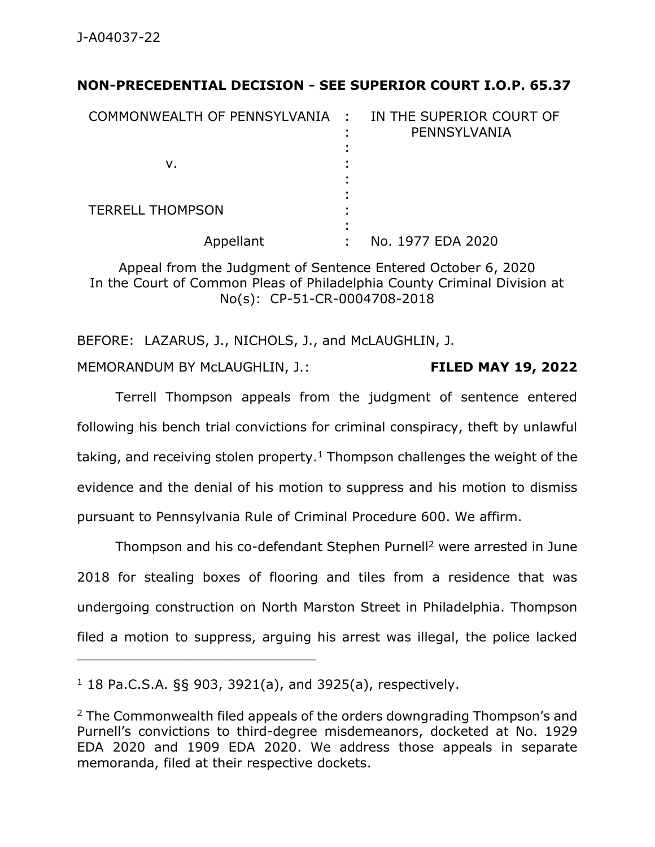## **NON-PRECEDENTIAL DECISION - SEE SUPERIOR COURT I.O.P. 65.37**

| COMMONWEALTH OF PENNSYLVANIA : | IN THE SUPERIOR COURT OF<br>PENNSYLVANIA |
|--------------------------------|------------------------------------------|
| ν.                             |                                          |
| <b>TERRELL THOMPSON</b>        |                                          |
| Appellant                      | No. 1977 EDA 2020                        |

Appeal from the Judgment of Sentence Entered October 6, 2020 In the Court of Common Pleas of Philadelphia County Criminal Division at No(s): CP-51-CR-0004708-2018

BEFORE: LAZARUS, J., NICHOLS, J., and McLAUGHLIN, J. MEMORANDUM BY McLAUGHLIN, J.: **FILED MAY 19, 2022**

Terrell Thompson appeals from the judgment of sentence entered following his bench trial convictions for criminal conspiracy, theft by unlawful taking, and receiving stolen property.<sup>1</sup> Thompson challenges the weight of the evidence and the denial of his motion to suppress and his motion to dismiss pursuant to Pennsylvania Rule of Criminal Procedure 600. We affirm.

Thompson and his co-defendant Stephen Purnell<sup>2</sup> were arrested in June 2018 for stealing boxes of flooring and tiles from a residence that was undergoing construction on North Marston Street in Philadelphia. Thompson filed a motion to suppress, arguing his arrest was illegal, the police lacked

 $1$  18 Pa.C.S.A. §§ 903, 3921(a), and 3925(a), respectively.

 $2$  The Commonwealth filed appeals of the orders downgrading Thompson's and Purnell's convictions to third-degree misdemeanors, docketed at No. 1929 EDA 2020 and 1909 EDA 2020. We address those appeals in separate memoranda, filed at their respective dockets.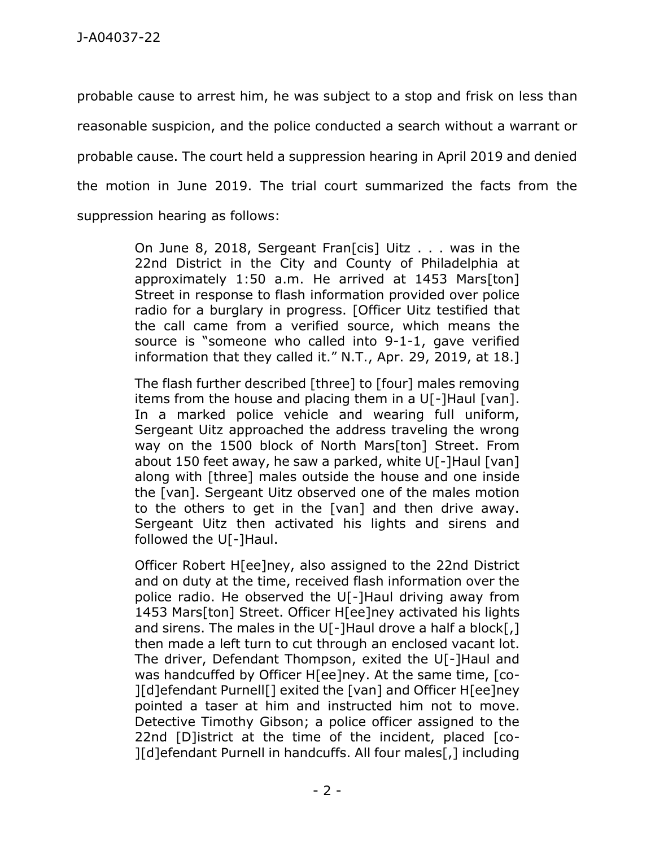probable cause to arrest him, he was subject to a stop and frisk on less than reasonable suspicion, and the police conducted a search without a warrant or probable cause. The court held a suppression hearing in April 2019 and denied the motion in June 2019. The trial court summarized the facts from the suppression hearing as follows:

> On June 8, 2018, Sergeant Fran[cis] Uitz . . . was in the 22nd District in the City and County of Philadelphia at approximately 1:50 a.m. He arrived at 1453 Mars[ton] Street in response to flash information provided over police radio for a burglary in progress. [Officer Uitz testified that the call came from a verified source, which means the source is "someone who called into 9-1-1, gave verified information that they called it." N.T., Apr. 29, 2019, at 18.]

> The flash further described [three] to [four] males removing items from the house and placing them in a U[-]Haul [van]. In a marked police vehicle and wearing full uniform, Sergeant Uitz approached the address traveling the wrong way on the 1500 block of North Mars[ton] Street. From about 150 feet away, he saw a parked, white U[-]Haul [van] along with [three] males outside the house and one inside the [van]. Sergeant Uitz observed one of the males motion to the others to get in the [van] and then drive away. Sergeant Uitz then activated his lights and sirens and followed the U[-]Haul.

> Officer Robert H[ee]ney, also assigned to the 22nd District and on duty at the time, received flash information over the police radio. He observed the U[-]Haul driving away from 1453 Mars[ton] Street. Officer H[ee]ney activated his lights and sirens. The males in the U[-]Haul drove a half a block[,] then made a left turn to cut through an enclosed vacant lot. The driver, Defendant Thompson, exited the U[-]Haul and was handcuffed by Officer H[ee]ney. At the same time, [co- ][d]efendant Purnell[] exited the [van] and Officer H[ee]ney pointed a taser at him and instructed him not to move. Detective Timothy Gibson; a police officer assigned to the 22nd [D]istrict at the time of the incident, placed [co- ][d]efendant Purnell in handcuffs. All four males[,] including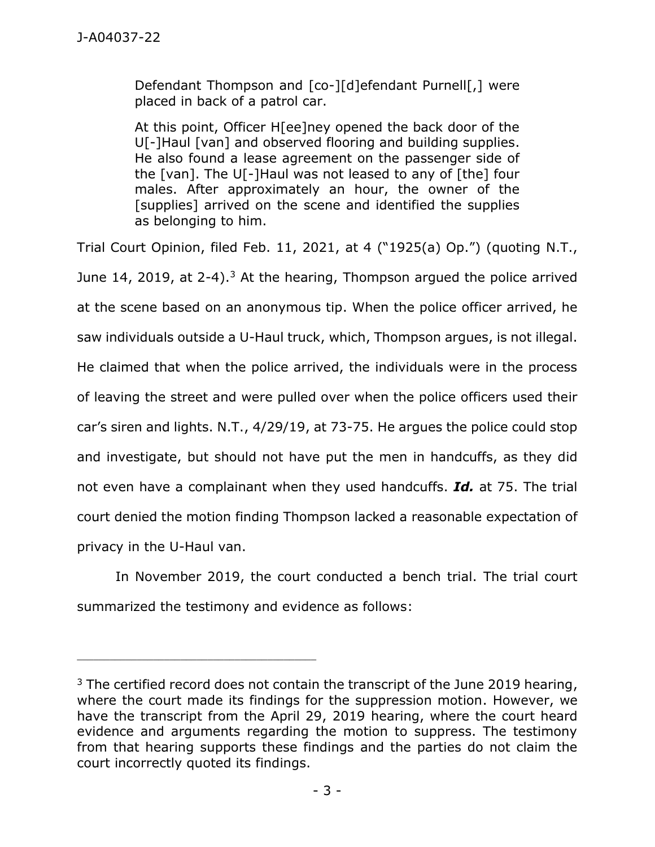Defendant Thompson and [co-][d]efendant Purnell[,] were placed in back of a patrol car.

At this point, Officer H[ee]ney opened the back door of the U[-]Haul [van] and observed flooring and building supplies. He also found a lease agreement on the passenger side of the [van]. The U[-]Haul was not leased to any of [the] four males. After approximately an hour, the owner of the [supplies] arrived on the scene and identified the supplies as belonging to him.

Trial Court Opinion, filed Feb. 11, 2021, at 4 ("1925(a) Op.") (quoting N.T., June 14, 2019, at  $2-4$ ).<sup>3</sup> At the hearing, Thompson argued the police arrived at the scene based on an anonymous tip. When the police officer arrived, he saw individuals outside a U-Haul truck, which, Thompson argues, is not illegal. He claimed that when the police arrived, the individuals were in the process of leaving the street and were pulled over when the police officers used their car's siren and lights. N.T., 4/29/19, at 73-75. He argues the police could stop and investigate, but should not have put the men in handcuffs, as they did not even have a complainant when they used handcuffs. *Id.* at 75. The trial court denied the motion finding Thompson lacked a reasonable expectation of privacy in the U-Haul van.

In November 2019, the court conducted a bench trial. The trial court summarized the testimony and evidence as follows:

 $3$  The certified record does not contain the transcript of the June 2019 hearing, where the court made its findings for the suppression motion. However, we have the transcript from the April 29, 2019 hearing, where the court heard evidence and arguments regarding the motion to suppress. The testimony from that hearing supports these findings and the parties do not claim the court incorrectly quoted its findings.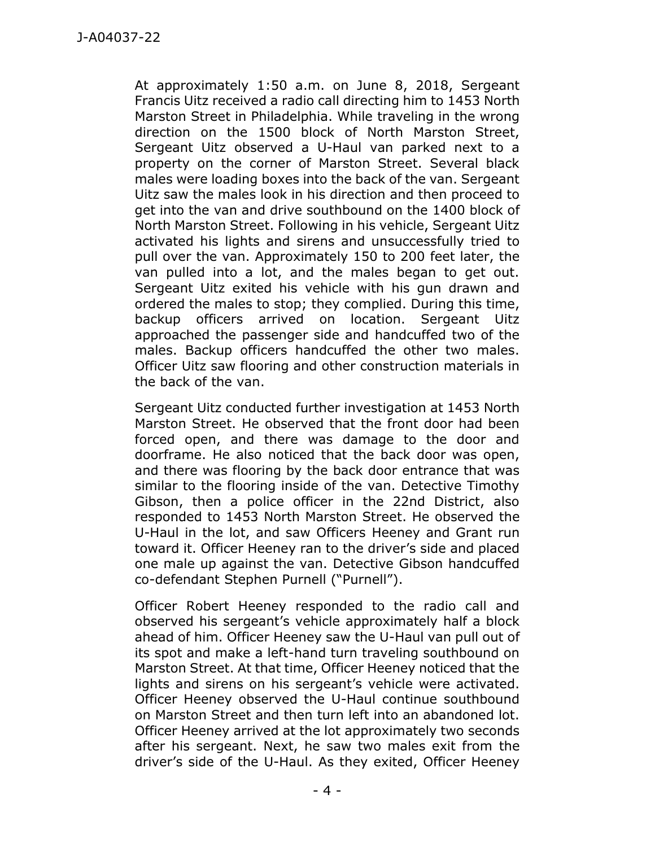At approximately 1:50 a.m. on June 8, 2018, Sergeant Francis Uitz received a radio call directing him to 1453 North Marston Street in Philadelphia. While traveling in the wrong direction on the 1500 block of North Marston Street, Sergeant Uitz observed a U-Haul van parked next to a property on the corner of Marston Street. Several black males were loading boxes into the back of the van. Sergeant Uitz saw the males look in his direction and then proceed to get into the van and drive southbound on the 1400 block of North Marston Street. Following in his vehicle, Sergeant Uitz activated his lights and sirens and unsuccessfully tried to pull over the van. Approximately 150 to 200 feet later, the van pulled into a lot, and the males began to get out. Sergeant Uitz exited his vehicle with his gun drawn and ordered the males to stop; they complied. During this time, backup officers arrived on location. Sergeant Uitz approached the passenger side and handcuffed two of the males. Backup officers handcuffed the other two males. Officer Uitz saw flooring and other construction materials in the back of the van.

Sergeant Uitz conducted further investigation at 1453 North Marston Street. He observed that the front door had been forced open, and there was damage to the door and doorframe. He also noticed that the back door was open, and there was flooring by the back door entrance that was similar to the flooring inside of the van. Detective Timothy Gibson, then a police officer in the 22nd District, also responded to 1453 North Marston Street. He observed the U-Haul in the lot, and saw Officers Heeney and Grant run toward it. Officer Heeney ran to the driver's side and placed one male up against the van. Detective Gibson handcuffed co-defendant Stephen Purnell ("Purnell").

Officer Robert Heeney responded to the radio call and observed his sergeant's vehicle approximately half a block ahead of him. Officer Heeney saw the U-Haul van pull out of its spot and make a left-hand turn traveling southbound on Marston Street. At that time, Officer Heeney noticed that the lights and sirens on his sergeant's vehicle were activated. Officer Heeney observed the U-Haul continue southbound on Marston Street and then turn left into an abandoned lot. Officer Heeney arrived at the lot approximately two seconds after his sergeant. Next, he saw two males exit from the driver's side of the U-Haul. As they exited, Officer Heeney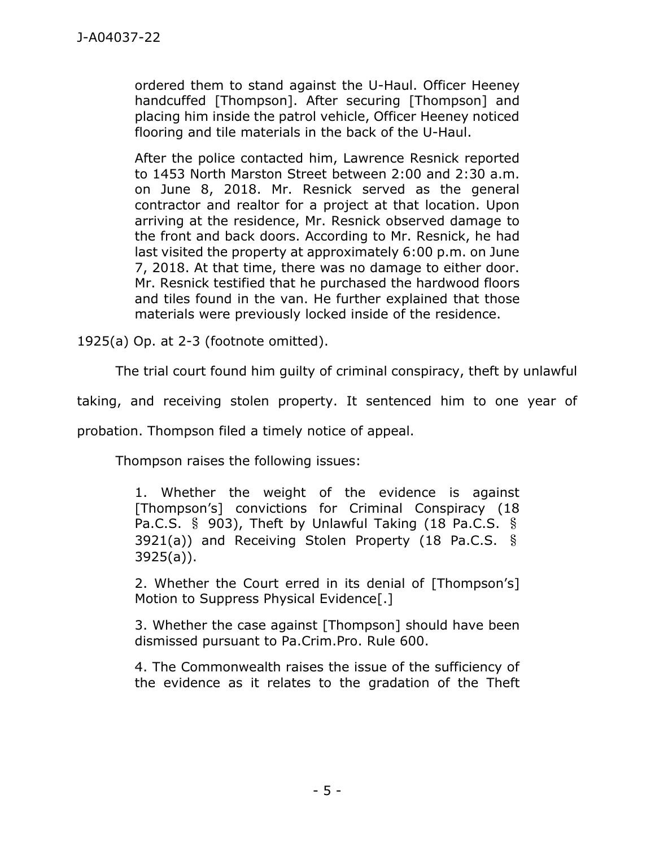ordered them to stand against the U-Haul. Officer Heeney handcuffed [Thompson]. After securing [Thompson] and placing him inside the patrol vehicle, Officer Heeney noticed flooring and tile materials in the back of the U-Haul.

After the police contacted him, Lawrence Resnick reported to 1453 North Marston Street between 2:00 and 2:30 a.m. on June 8, 2018. Mr. Resnick served as the general contractor and realtor for a project at that location. Upon arriving at the residence, Mr. Resnick observed damage to the front and back doors. According to Mr. Resnick, he had last visited the property at approximately 6:00 p.m. on June 7, 2018. At that time, there was no damage to either door. Mr. Resnick testified that he purchased the hardwood floors and tiles found in the van. He further explained that those materials were previously locked inside of the residence.

1925(a) Op. at 2-3 (footnote omitted).

The trial court found him guilty of criminal conspiracy, theft by unlawful

taking, and receiving stolen property. It sentenced him to one year of

probation. Thompson filed a timely notice of appeal.

Thompson raises the following issues:

1. Whether the weight of the evidence is against [Thompson's] convictions for Criminal Conspiracy (18 Pa.C.S. § 903), Theft by Unlawful Taking (18 Pa.C.S. § 3921(a)) and Receiving Stolen Property (18 Pa.C.S. § 3925(a)).

2. Whether the Court erred in its denial of [Thompson's] Motion to Suppress Physical Evidence[.]

3. Whether the case against [Thompson] should have been dismissed pursuant to Pa.Crim.Pro. Rule 600.

4. The Commonwealth raises the issue of the sufficiency of the evidence as it relates to the gradation of the Theft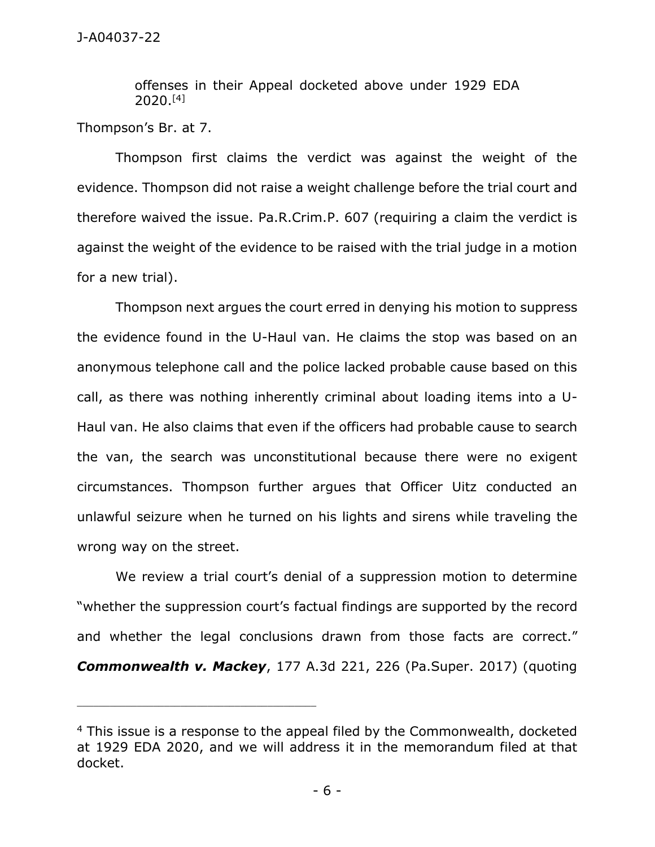offenses in their Appeal docketed above under 1929 EDA 2020.[4]

Thompson's Br. at 7.

Thompson first claims the verdict was against the weight of the evidence. Thompson did not raise a weight challenge before the trial court and therefore waived the issue. Pa.R.Crim.P. 607 (requiring a claim the verdict is against the weight of the evidence to be raised with the trial judge in a motion for a new trial).

Thompson next argues the court erred in denying his motion to suppress the evidence found in the U-Haul van. He claims the stop was based on an anonymous telephone call and the police lacked probable cause based on this call, as there was nothing inherently criminal about loading items into a U-Haul van. He also claims that even if the officers had probable cause to search the van, the search was unconstitutional because there were no exigent circumstances. Thompson further argues that Officer Uitz conducted an unlawful seizure when he turned on his lights and sirens while traveling the wrong way on the street.

We review a trial court's denial of a suppression motion to determine "whether the suppression court's factual findings are supported by the record and whether the legal conclusions drawn from those facts are correct." *Commonwealth v. Mackey*, 177 A.3d 221, 226 (Pa.Super. 2017) (quoting

\_\_\_\_\_\_\_\_\_\_\_\_\_\_\_\_\_\_\_\_\_\_\_\_\_\_\_\_\_\_\_\_\_\_\_\_\_\_\_\_\_\_\_\_

<sup>&</sup>lt;sup>4</sup> This issue is a response to the appeal filed by the Commonwealth, docketed at 1929 EDA 2020, and we will address it in the memorandum filed at that docket.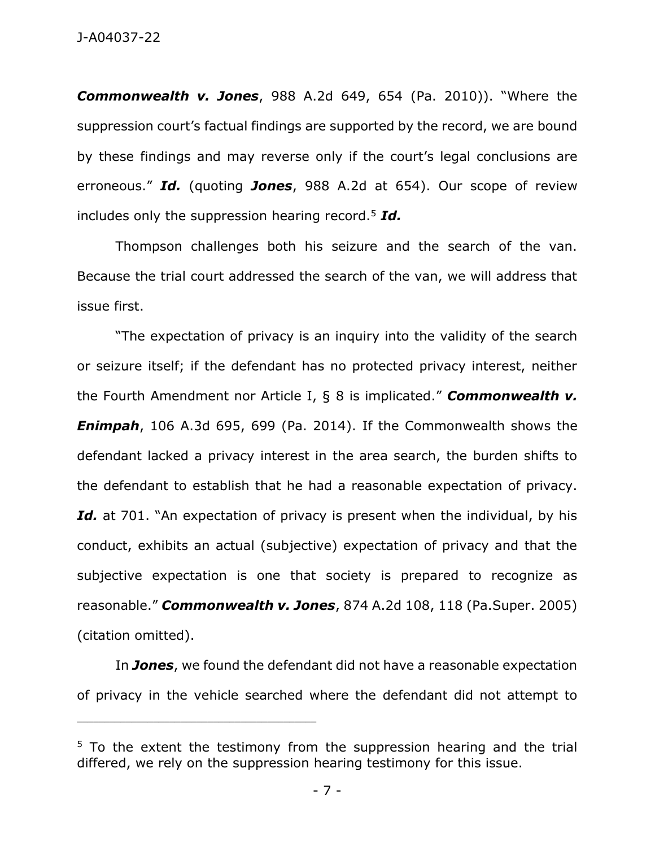*Commonwealth v. Jones*, 988 A.2d 649, 654 (Pa. 2010)). "Where the suppression court's factual findings are supported by the record, we are bound by these findings and may reverse only if the court's legal conclusions are erroneous." *Id.* (quoting *Jones*, 988 A.2d at 654). Our scope of review includes only the suppression hearing record.<sup>5</sup> *Id.*

Thompson challenges both his seizure and the search of the van. Because the trial court addressed the search of the van, we will address that issue first.

"The expectation of privacy is an inquiry into the validity of the search or seizure itself; if the defendant has no protected privacy interest, neither the Fourth Amendment nor Article I, § 8 is implicated." *Commonwealth v. Enimpah*, 106 A.3d 695, 699 (Pa. 2014). If the Commonwealth shows the defendant lacked a privacy interest in the area search, the burden shifts to the defendant to establish that he had a reasonable expectation of privacy. Id. at 701. "An expectation of privacy is present when the individual, by his conduct, exhibits an actual (subjective) expectation of privacy and that the subjective expectation is one that society is prepared to recognize as reasonable." *Commonwealth v. Jones*, 874 A.2d 108, 118 (Pa.Super. 2005) (citation omitted).

In *Jones*, we found the defendant did not have a reasonable expectation of privacy in the vehicle searched where the defendant did not attempt to

\_\_\_\_\_\_\_\_\_\_\_\_\_\_\_\_\_\_\_\_\_\_\_\_\_\_\_\_\_\_\_\_\_\_\_\_\_\_\_\_\_\_\_\_

<sup>&</sup>lt;sup>5</sup> To the extent the testimony from the suppression hearing and the trial differed, we rely on the suppression hearing testimony for this issue.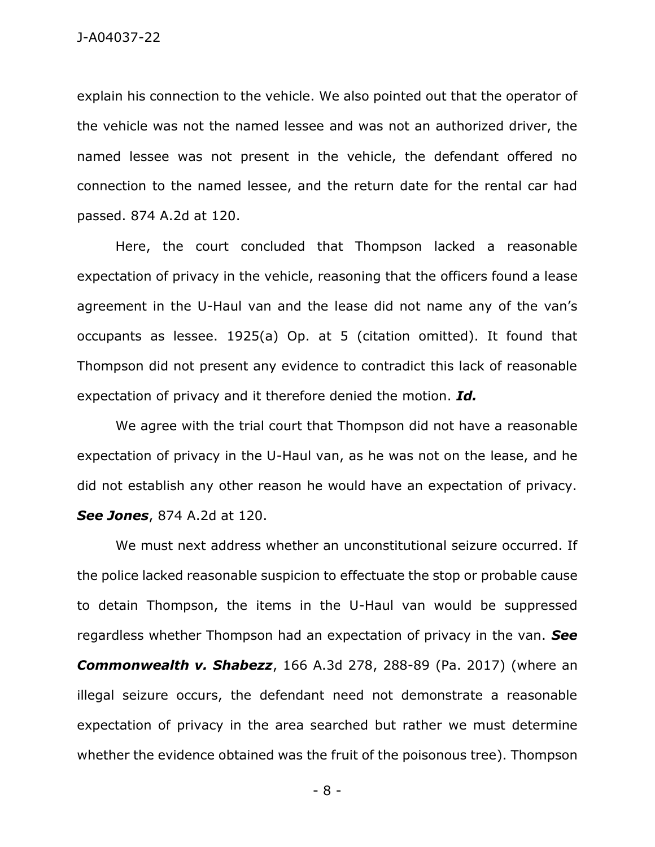explain his connection to the vehicle. We also pointed out that the operator of the vehicle was not the named lessee and was not an authorized driver, the named lessee was not present in the vehicle, the defendant offered no connection to the named lessee, and the return date for the rental car had passed. 874 A.2d at 120.

Here, the court concluded that Thompson lacked a reasonable expectation of privacy in the vehicle, reasoning that the officers found a lease agreement in the U-Haul van and the lease did not name any of the van's occupants as lessee. 1925(a) Op. at 5 (citation omitted). It found that Thompson did not present any evidence to contradict this lack of reasonable expectation of privacy and it therefore denied the motion. *Id.*

We agree with the trial court that Thompson did not have a reasonable expectation of privacy in the U-Haul van, as he was not on the lease, and he did not establish any other reason he would have an expectation of privacy. *See Jones*, 874 A.2d at 120.

We must next address whether an unconstitutional seizure occurred. If the police lacked reasonable suspicion to effectuate the stop or probable cause to detain Thompson, the items in the U-Haul van would be suppressed regardless whether Thompson had an expectation of privacy in the van. *See Commonwealth v. Shabezz*, 166 A.3d 278, 288-89 (Pa. 2017) (where an illegal seizure occurs, the defendant need not demonstrate a reasonable expectation of privacy in the area searched but rather we must determine whether the evidence obtained was the fruit of the poisonous tree). Thompson

- 8 -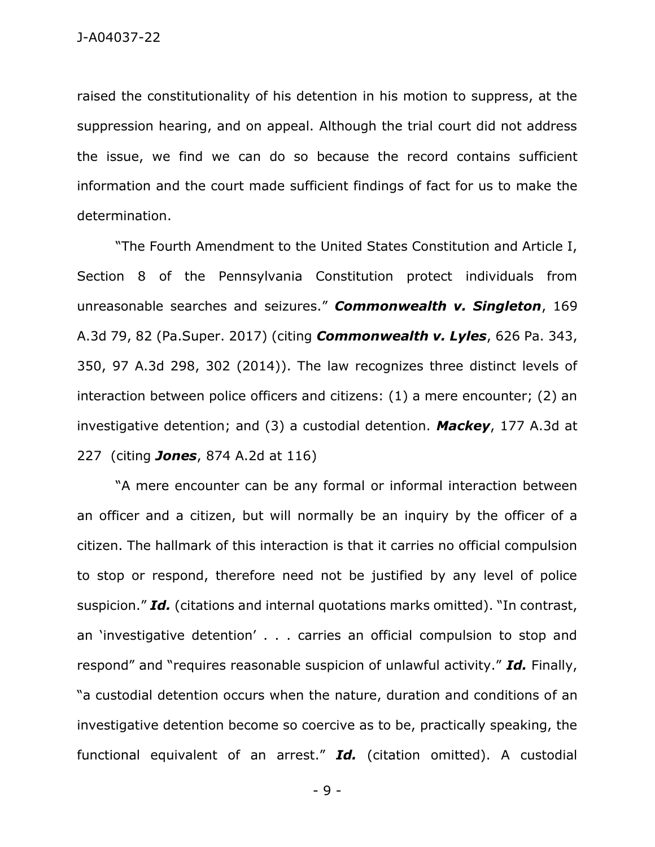raised the constitutionality of his detention in his motion to suppress, at the suppression hearing, and on appeal. Although the trial court did not address the issue, we find we can do so because the record contains sufficient information and the court made sufficient findings of fact for us to make the determination.

"The Fourth Amendment to the United States Constitution and Article I, Section 8 of the Pennsylvania Constitution protect individuals from unreasonable searches and seizures." *Commonwealth v. Singleton*, 169 A.3d 79, 82 (Pa.Super. 2017) (citing *Commonwealth v. Lyles*, 626 Pa. 343, 350, 97 A.3d 298, 302 (2014)). The law recognizes three distinct levels of interaction between police officers and citizens: (1) a mere encounter; (2) an investigative detention; and (3) a custodial detention. *Mackey*, 177 A.3d at 227 (citing *Jones*, 874 A.2d at 116)

"A mere encounter can be any formal or informal interaction between an officer and a citizen, but will normally be an inquiry by the officer of a citizen. The hallmark of this interaction is that it carries no official compulsion to stop or respond, therefore need not be justified by any level of police suspicion." *Id.* (citations and internal quotations marks omitted). "In contrast, an 'investigative detention' . . . carries an official compulsion to stop and respond" and "requires reasonable suspicion of unlawful activity." *Id.* Finally, "a custodial detention occurs when the nature, duration and conditions of an investigative detention become so coercive as to be, practically speaking, the functional equivalent of an arrest." *Id.* (citation omitted). A custodial

- 9 -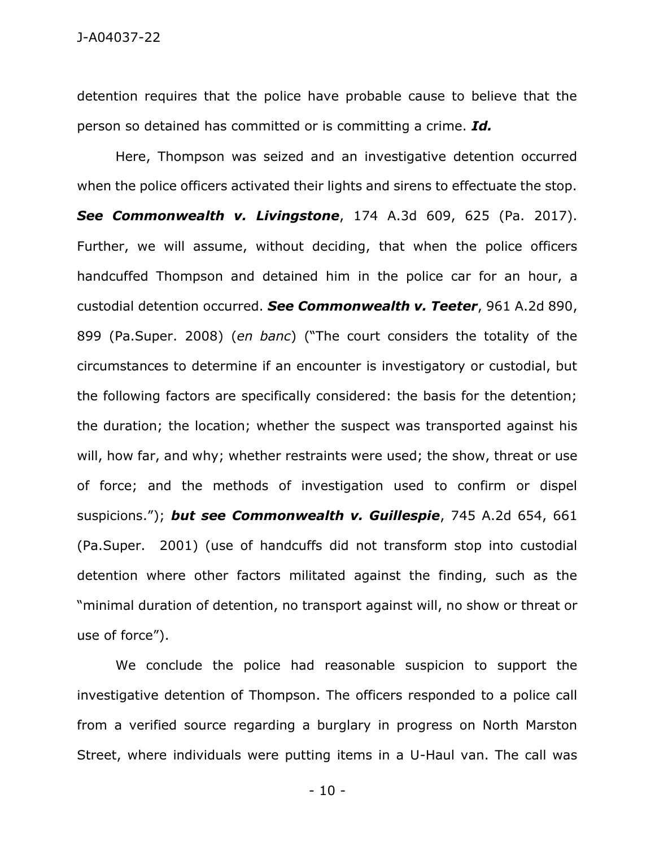detention requires that the police have probable cause to believe that the person so detained has committed or is committing a crime. *Id.*

Here, Thompson was seized and an investigative detention occurred when the police officers activated their lights and sirens to effectuate the stop. *See Commonwealth v. Livingstone*, 174 A.3d 609, 625 (Pa. 2017). Further, we will assume, without deciding, that when the police officers handcuffed Thompson and detained him in the police car for an hour, a custodial detention occurred. *See Commonwealth v. Teeter*, 961 A.2d 890, 899 (Pa.Super. 2008) (*en banc*) ("The court considers the totality of the circumstances to determine if an encounter is investigatory or custodial, but the following factors are specifically considered: the basis for the detention; the duration; the location; whether the suspect was transported against his will, how far, and why; whether restraints were used; the show, threat or use of force; and the methods of investigation used to confirm or dispel suspicions."); *but see Commonwealth v. Guillespie*, 745 A.2d 654, 661 (Pa.Super. 2001) (use of handcuffs did not transform stop into custodial detention where other factors militated against the finding, such as the "minimal duration of detention, no transport against will, no show or threat or use of force").

We conclude the police had reasonable suspicion to support the investigative detention of Thompson. The officers responded to a police call from a verified source regarding a burglary in progress on North Marston Street, where individuals were putting items in a U-Haul van. The call was

- 10 -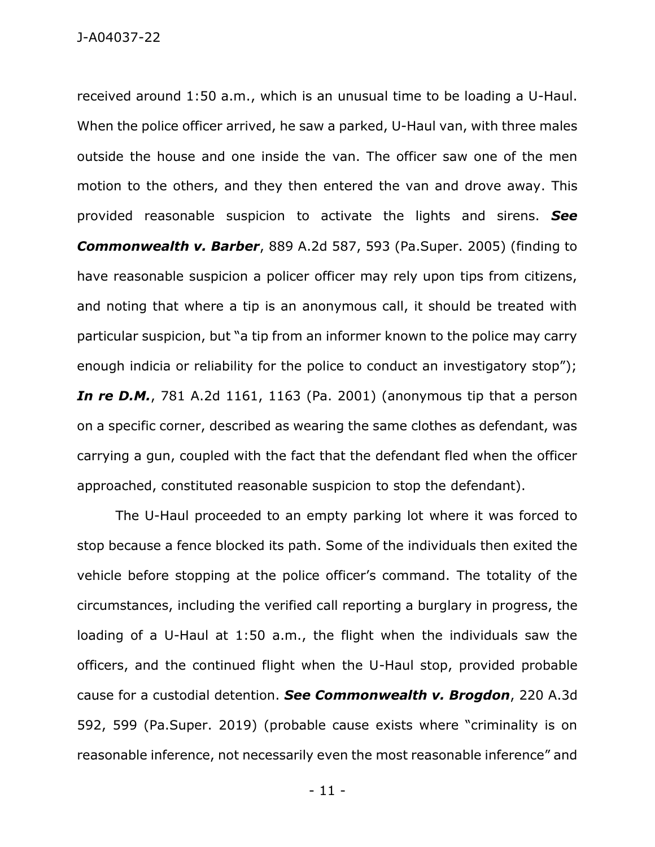received around 1:50 a.m., which is an unusual time to be loading a U-Haul. When the police officer arrived, he saw a parked, U-Haul van, with three males outside the house and one inside the van. The officer saw one of the men motion to the others, and they then entered the van and drove away. This provided reasonable suspicion to activate the lights and sirens. *See Commonwealth v. Barber*, 889 A.2d 587, 593 (Pa.Super. 2005) (finding to have reasonable suspicion a policer officer may rely upon tips from citizens, and noting that where a tip is an anonymous call, it should be treated with particular suspicion, but "a tip from an informer known to the police may carry enough indicia or reliability for the police to conduct an investigatory stop"); *In re D.M.*, 781 A.2d 1161, 1163 (Pa. 2001) (anonymous tip that a person on a specific corner, described as wearing the same clothes as defendant, was carrying a gun, coupled with the fact that the defendant fled when the officer approached, constituted reasonable suspicion to stop the defendant).

The U-Haul proceeded to an empty parking lot where it was forced to stop because a fence blocked its path. Some of the individuals then exited the vehicle before stopping at the police officer's command. The totality of the circumstances, including the verified call reporting a burglary in progress, the loading of a U-Haul at 1:50 a.m., the flight when the individuals saw the officers, and the continued flight when the U-Haul stop, provided probable cause for a custodial detention. *See Commonwealth v. Brogdon*, 220 A.3d 592, 599 (Pa.Super. 2019) (probable cause exists where "criminality is on reasonable inference, not necessarily even the most reasonable inference" and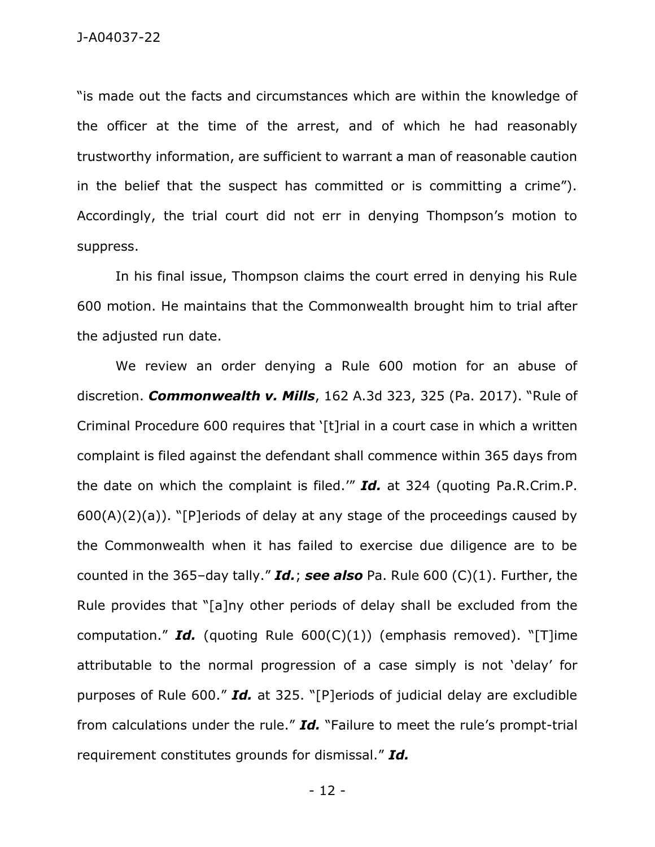"is made out the facts and circumstances which are within the knowledge of the officer at the time of the arrest, and of which he had reasonably trustworthy information, are sufficient to warrant a man of reasonable caution in the belief that the suspect has committed or is committing a crime"). Accordingly, the trial court did not err in denying Thompson's motion to suppress.

In his final issue, Thompson claims the court erred in denying his Rule 600 motion. He maintains that the Commonwealth brought him to trial after the adjusted run date.

We review an order denying a Rule 600 motion for an abuse of discretion. *Commonwealth v. Mills*, 162 A.3d 323, 325 (Pa. 2017). "Rule of Criminal Procedure 600 requires that '[t]rial in a court case in which a written complaint is filed against the defendant shall commence within 365 days from the date on which the complaint is filed.'" *Id.* at 324 (quoting Pa.R.Crim.P.  $600(A)(2)(a)$ . "[P]eriods of delay at any stage of the proceedings caused by the Commonwealth when it has failed to exercise due diligence are to be counted in the 365–day tally." *Id.*; *see also* Pa. Rule 600 (C)(1). Further, the Rule provides that "[a]ny other periods of delay shall be excluded from the computation." **Id.** (quoting Rule  $600(C)(1)$ ) (emphasis removed). "[T]ime attributable to the normal progression of a case simply is not 'delay' for purposes of Rule 600." *Id.* at 325. "[P]eriods of judicial delay are excludible from calculations under the rule." *Id.* "Failure to meet the rule's prompt-trial requirement constitutes grounds for dismissal." *Id.*

- 12 -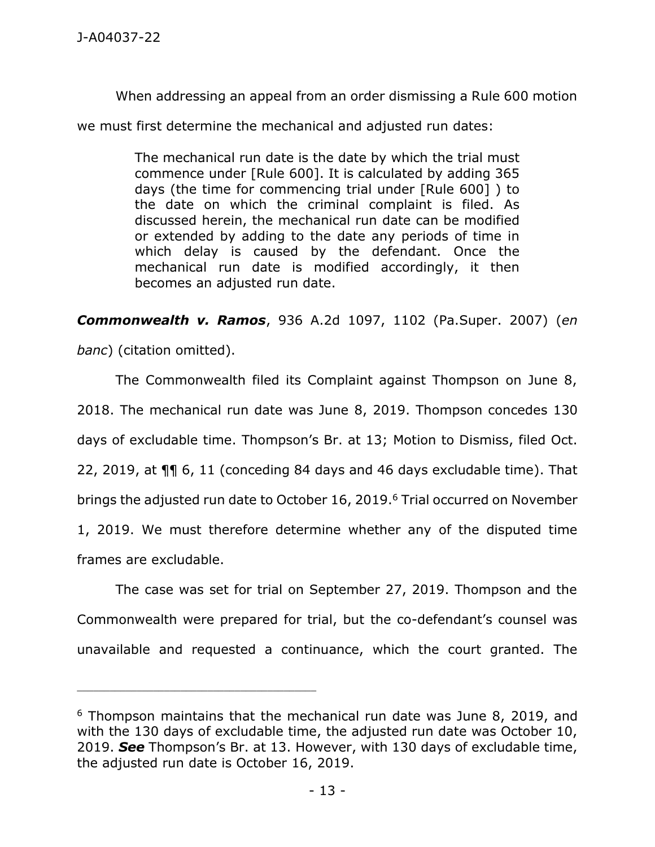When addressing an appeal from an order dismissing a Rule 600 motion

we must first determine the mechanical and adjusted run dates:

The mechanical run date is the date by which the trial must commence under [Rule 600]. It is calculated by adding 365 days (the time for commencing trial under [Rule 600] ) to the date on which the criminal complaint is filed. As discussed herein, the mechanical run date can be modified or extended by adding to the date any periods of time in which delay is caused by the defendant. Once the mechanical run date is modified accordingly, it then becomes an adjusted run date.

*Commonwealth v. Ramos*, 936 A.2d 1097, 1102 (Pa.Super. 2007) (*en* 

*banc*) (citation omitted).

\_\_\_\_\_\_\_\_\_\_\_\_\_\_\_\_\_\_\_\_\_\_\_\_\_\_\_\_\_\_\_\_\_\_\_\_\_\_\_\_\_\_\_\_

The Commonwealth filed its Complaint against Thompson on June 8, 2018. The mechanical run date was June 8, 2019. Thompson concedes 130 days of excludable time. Thompson's Br. at 13; Motion to Dismiss, filed Oct. 22, 2019, at ¶¶ 6, 11 (conceding 84 days and 46 days excludable time). That brings the adjusted run date to October 16, 2019.<sup>6</sup> Trial occurred on November 1, 2019. We must therefore determine whether any of the disputed time frames are excludable.

The case was set for trial on September 27, 2019. Thompson and the Commonwealth were prepared for trial, but the co-defendant's counsel was unavailable and requested a continuance, which the court granted. The

<sup>6</sup> Thompson maintains that the mechanical run date was June 8, 2019, and with the 130 days of excludable time, the adjusted run date was October 10, 2019. *See* Thompson's Br. at 13. However, with 130 days of excludable time, the adjusted run date is October 16, 2019.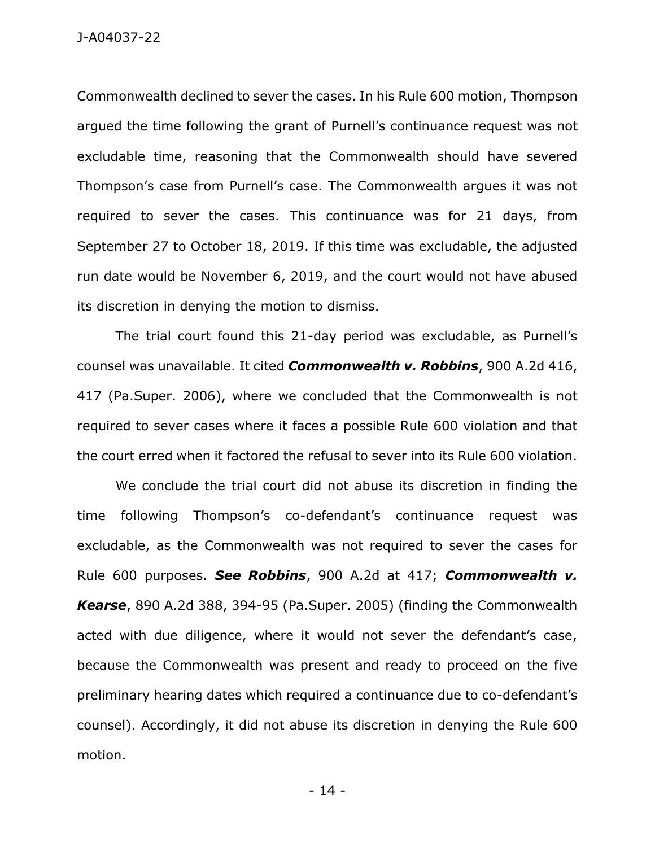Commonwealth declined to sever the cases. In his Rule 600 motion, Thompson argued the time following the grant of Purnell's continuance request was not excludable time, reasoning that the Commonwealth should have severed Thompson's case from Purnell's case. The Commonwealth argues it was not required to sever the cases. This continuance was for 21 days, from September 27 to October 18, 2019. If this time was excludable, the adjusted run date would be November 6, 2019, and the court would not have abused its discretion in denying the motion to dismiss.

The trial court found this 21-day period was excludable, as Purnell's counsel was unavailable. It cited *Commonwealth v. Robbins*, 900 A.2d 416, 417 (Pa.Super. 2006), where we concluded that the Commonwealth is not required to sever cases where it faces a possible Rule 600 violation and that the court erred when it factored the refusal to sever into its Rule 600 violation.

We conclude the trial court did not abuse its discretion in finding the time following Thompson's co-defendant's continuance request was excludable, as the Commonwealth was not required to sever the cases for Rule 600 purposes. *See Robbins*, 900 A.2d at 417; *Commonwealth v. Kearse*, 890 A.2d 388, 394-95 (Pa.Super. 2005) (finding the Commonwealth acted with due diligence, where it would not sever the defendant's case, because the Commonwealth was present and ready to proceed on the five preliminary hearing dates which required a continuance due to co-defendant's counsel). Accordingly, it did not abuse its discretion in denying the Rule 600 motion.

- 14 -